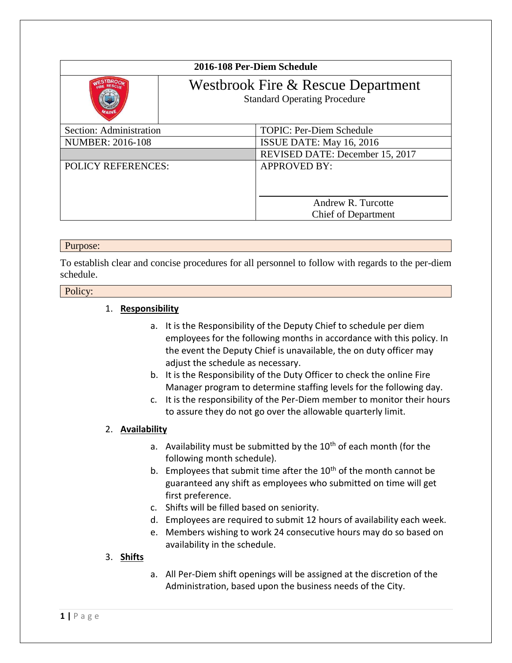| 2016-108 Per-Diem Schedule                                                |                                                  |
|---------------------------------------------------------------------------|--------------------------------------------------|
| Westbrook Fire & Rescue Department<br><b>Standard Operating Procedure</b> |                                                  |
| Section: Administration                                                   | <b>TOPIC: Per-Diem Schedule</b>                  |
| <b>NUMBER: 2016-108</b>                                                   | ISSUE DATE: May 16, 2016                         |
|                                                                           | REVISED DATE: December 15, 2017                  |
| <b>POLICY REFERENCES:</b>                                                 | <b>APPROVED BY:</b>                              |
|                                                                           | Andrew R. Turcotte<br><b>Chief of Department</b> |

#### Purpose:

To establish clear and concise procedures for all personnel to follow with regards to the per-diem schedule.

## Policy:

### 1. **Responsibility**

- a. It is the Responsibility of the Deputy Chief to schedule per diem employees for the following months in accordance with this policy. In the event the Deputy Chief is unavailable, the on duty officer may adjust the schedule as necessary.
- b. It is the Responsibility of the Duty Officer to check the online Fire Manager program to determine staffing levels for the following day.
- c. It is the responsibility of the Per-Diem member to monitor their hours to assure they do not go over the allowable quarterly limit.

#### 2. **Availability**

- a. Availability must be submitted by the  $10<sup>th</sup>$  of each month (for the following month schedule).
- b. Employees that submit time after the  $10<sup>th</sup>$  of the month cannot be guaranteed any shift as employees who submitted on time will get first preference.
- c. Shifts will be filled based on seniority.
- d. Employees are required to submit 12 hours of availability each week.
- e. Members wishing to work 24 consecutive hours may do so based on availability in the schedule.

## 3. **Shifts**

a. All Per-Diem shift openings will be assigned at the discretion of the Administration, based upon the business needs of the City.